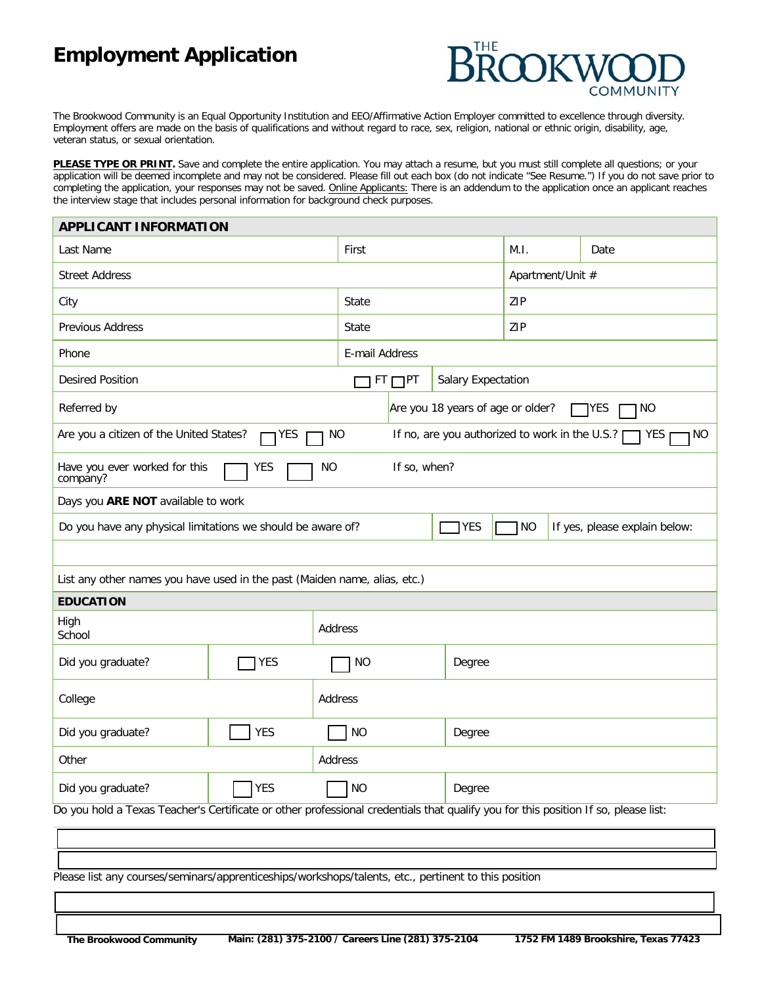# **Employment Application**



The Brookwood Community is an Equal Opportunity Institution and EEO/Affirmative Action Employer committed to excellence through diversity. Employment offers are made on the basis of qualifications and without regard to race, sex, religion, national or ethnic origin, disability, age, veteran status, or sexual orientation.

PLEASE TYPE OR PRINT. Save and complete the entire application. You may attach a resume, but you must still complete all questions; or your application will be deemed incomplete and may not be considered. Please fill out each box (do not indicate "See Resume.") If you do not save prior to completing the application, your responses may not be saved. Online Applicants: There is an addendum to the application once an applicant reaches the interview stage that includes personal information for background check purposes.

| <b>APPLICANT INFORMATION</b>                                                                                                       |                       |                     |              |                                                       |      |     |      |  |
|------------------------------------------------------------------------------------------------------------------------------------|-----------------------|---------------------|--------------|-------------------------------------------------------|------|-----|------|--|
| Last Name                                                                                                                          |                       |                     | First        |                                                       | M.I. |     | Date |  |
| <b>Street Address</b>                                                                                                              |                       |                     |              | Apartment/Unit #                                      |      |     |      |  |
| City                                                                                                                               |                       |                     | <b>State</b> |                                                       |      | ZIP |      |  |
| <b>Previous Address</b>                                                                                                            | <b>State</b>          |                     |              |                                                       | ZIP  |     |      |  |
| Phone                                                                                                                              | <b>E-mail Address</b> |                     |              |                                                       |      |     |      |  |
| <b>Desired Position</b>                                                                                                            |                       |                     | $FT$ $PT$    | <b>Salary Expectation</b>                             |      |     |      |  |
| <b>Referred by</b>                                                                                                                 |                       |                     |              | Are you 18 years of age or older?<br><b>NO</b><br>YES |      |     |      |  |
| Are you a citizen of the United States?<br><b>NO</b><br>YES<br>If no, are you authorized to work in the U.S.?<br><b>YES</b><br>NO  |                       |                     |              |                                                       |      |     |      |  |
| Have you ever worked for this<br><b>NO</b><br>If so, when?<br><b>YES</b><br>company?                                               |                       |                     |              |                                                       |      |     |      |  |
| Days you ARE NOT available to work                                                                                                 |                       |                     |              |                                                       |      |     |      |  |
| NO<br>Do you have any physical limitations we should be aware of?<br><b>YES</b><br>If yes, please explain below:                   |                       |                     |              |                                                       |      |     |      |  |
|                                                                                                                                    |                       |                     |              |                                                       |      |     |      |  |
| List any other names you have used in the past (Maiden name, alias, etc.)                                                          |                       |                     |              |                                                       |      |     |      |  |
| <b>EDUCATION</b>                                                                                                                   |                       |                     |              |                                                       |      |     |      |  |
| High<br><b>Address</b><br>School                                                                                                   |                       |                     |              |                                                       |      |     |      |  |
| Did you graduate?                                                                                                                  | <b>YES</b>            | <b>NO</b>           |              | Degree                                                |      |     |      |  |
| College                                                                                                                            |                       | <b>Address</b>      |              |                                                       |      |     |      |  |
| Did you graduate?                                                                                                                  | <b>YES</b>            | <b>NO</b>           |              | Degree                                                |      |     |      |  |
| Other                                                                                                                              |                       | <b>Address</b>      |              |                                                       |      |     |      |  |
| Did you graduate?                                                                                                                  | <b>YES</b>            | <b>NO</b><br>Degree |              |                                                       |      |     |      |  |
| Do you hold a Texas Teacher's Certificate or other professional credentials that qualify you for this position If so, please list: |                       |                     |              |                                                       |      |     |      |  |
|                                                                                                                                    |                       |                     |              |                                                       |      |     |      |  |

Please list any courses/seminars/apprenticeships/workshops/talents, etc., pertinent to this position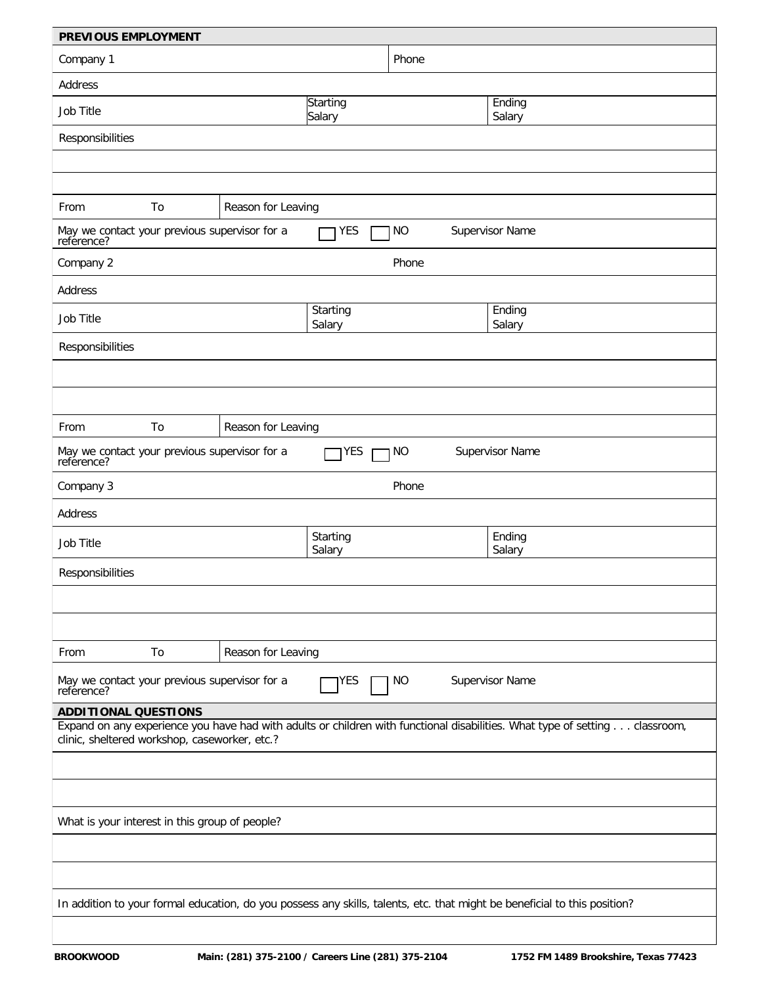| PREVIOUS EMPLOYMENT                                                                                                                                                          |    |                    |                           |           |                        |  |  |
|------------------------------------------------------------------------------------------------------------------------------------------------------------------------------|----|--------------------|---------------------------|-----------|------------------------|--|--|
| Company 1                                                                                                                                                                    |    |                    |                           | Phone     |                        |  |  |
| <b>Address</b>                                                                                                                                                               |    |                    |                           |           |                        |  |  |
| <b>Job Title</b>                                                                                                                                                             |    |                    | Starting<br>Salary        |           | Ending<br>Salary       |  |  |
| Responsibilities                                                                                                                                                             |    |                    |                           |           |                        |  |  |
|                                                                                                                                                                              |    |                    |                           |           |                        |  |  |
|                                                                                                                                                                              |    |                    |                           |           |                        |  |  |
| From                                                                                                                                                                         | To | Reason for Leaving |                           |           |                        |  |  |
| May we contact your previous supervisor for a<br>reference?                                                                                                                  |    |                    | <b>YES</b>                | <b>NO</b> | <b>Supervisor Name</b> |  |  |
| Company 2                                                                                                                                                                    |    |                    |                           | Phone     |                        |  |  |
| <b>Address</b>                                                                                                                                                               |    |                    |                           |           |                        |  |  |
| <b>Job Title</b>                                                                                                                                                             |    |                    | Starting<br>Salary        |           | Ending<br>Salary       |  |  |
| Responsibilities                                                                                                                                                             |    |                    |                           |           |                        |  |  |
|                                                                                                                                                                              |    |                    |                           |           |                        |  |  |
|                                                                                                                                                                              |    |                    |                           |           |                        |  |  |
| From                                                                                                                                                                         | To | Reason for Leaving |                           |           |                        |  |  |
| May we contact your previous supervisor for a<br>reference?                                                                                                                  |    |                    | <b>YES</b>                | 1 N O     | <b>Supervisor Name</b> |  |  |
| Company 3                                                                                                                                                                    |    |                    |                           | Phone     |                        |  |  |
| <b>Address</b>                                                                                                                                                               |    |                    |                           |           |                        |  |  |
| <b>Job Title</b>                                                                                                                                                             |    |                    | <b>Starting</b><br>Salary |           | Ending<br>Salary       |  |  |
| <b>Responsibilities</b>                                                                                                                                                      |    |                    |                           |           |                        |  |  |
|                                                                                                                                                                              |    |                    |                           |           |                        |  |  |
|                                                                                                                                                                              |    |                    |                           |           |                        |  |  |
| From                                                                                                                                                                         | To | Reason for Leaving |                           |           |                        |  |  |
| May we contact your previous supervisor for a<br><b>Supervisor Name</b><br>YES<br><b>NO</b><br>reference?                                                                    |    |                    |                           |           |                        |  |  |
| <b>ADDITIONAL QUESTIONS</b>                                                                                                                                                  |    |                    |                           |           |                        |  |  |
| Expand on any experience you have had with adults or children with functional disabilities. What type of setting classroom,<br>clinic, sheltered workshop, caseworker, etc.? |    |                    |                           |           |                        |  |  |
|                                                                                                                                                                              |    |                    |                           |           |                        |  |  |
|                                                                                                                                                                              |    |                    |                           |           |                        |  |  |
| What is your interest in this group of people?                                                                                                                               |    |                    |                           |           |                        |  |  |
|                                                                                                                                                                              |    |                    |                           |           |                        |  |  |
|                                                                                                                                                                              |    |                    |                           |           |                        |  |  |
| In addition to your formal education, do you possess any skills, talents, etc. that might be beneficial to this position?                                                    |    |                    |                           |           |                        |  |  |
|                                                                                                                                                                              |    |                    |                           |           |                        |  |  |
|                                                                                                                                                                              |    |                    |                           |           |                        |  |  |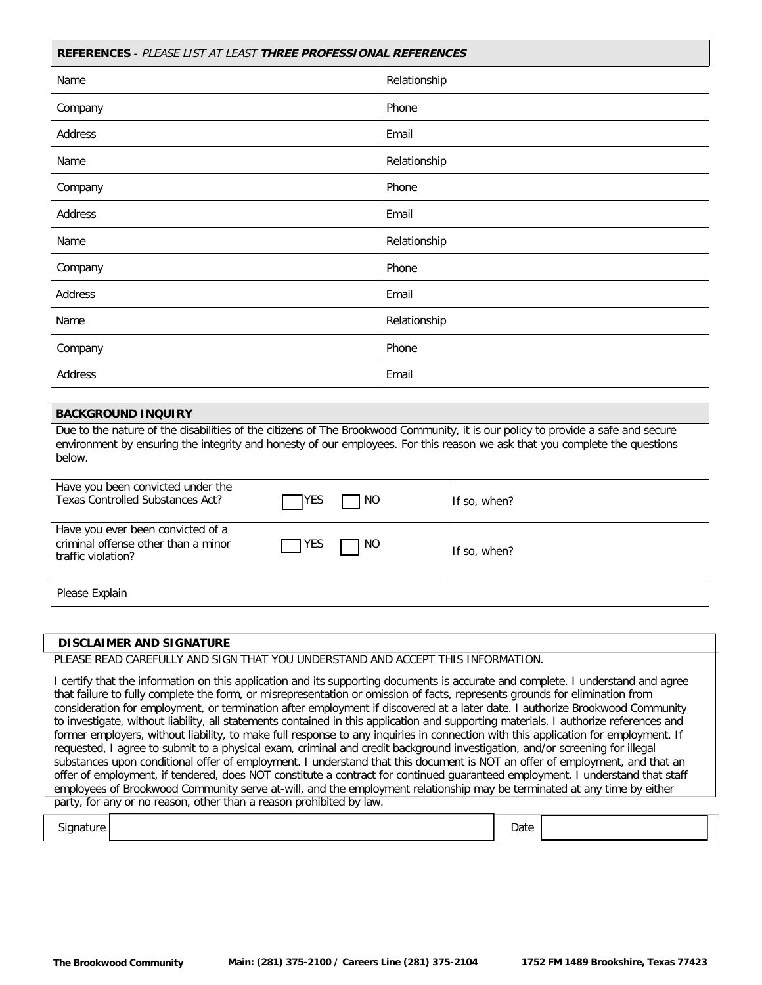| REFERENCES - PLEASE LIST AT LEAST THREE PROFESSIONAL REFERENCES |              |  |  |  |  |
|-----------------------------------------------------------------|--------------|--|--|--|--|
| Name                                                            | Relationship |  |  |  |  |
| Company                                                         | Phone        |  |  |  |  |
| <b>Address</b>                                                  | Email        |  |  |  |  |
| Name                                                            | Relationship |  |  |  |  |
| Company                                                         | Phone        |  |  |  |  |
| <b>Address</b>                                                  | Email        |  |  |  |  |
| Name                                                            | Relationship |  |  |  |  |
| Company                                                         | Phone        |  |  |  |  |
| <b>Address</b>                                                  | Email        |  |  |  |  |
| Name                                                            | Relationship |  |  |  |  |
| Company                                                         | Phone        |  |  |  |  |
| <b>Address</b>                                                  | Email        |  |  |  |  |

### **BACKGROUND INQUIRY**

Due to the nature of the disabilities of the citizens of The Brookwood Community, it is our policy to provide a safe and secure environment by ensuring the integrity and honesty of our employees. For this reason we ask that you complete the questions below.

| Have you been convicted under the<br><b>Texas Controlled Substances Act?</b>                   | <b>IYES</b> | NO. | If so, when? |
|------------------------------------------------------------------------------------------------|-------------|-----|--------------|
| Have you ever been convicted of a<br>criminal offense other than a minor<br>traffic violation? | YES         | NO. | If so, when? |
| Please Explain                                                                                 |             |     |              |

#### **DISCLAIMER AND SIGNATURE**

PLEASE READ CAREFULLY AND SIGN THAT YOU UNDERSTAND AND ACCEPT THIS INFORMATION.

I certify that the information on this application and its supporting documents is accurate and complete. I understand and agree that failure to fully complete the form, or misrepresentation or omission of facts, represents grounds for elimination from consideration for employment, or termination after employment if discovered at a later date. I authorize Brookwood Community to investigate, without liability, all statements contained in this application and supporting materials. I authorize references and former employers, without liability, to make full response to any inquiries in connection with this application for employment. If requested, I agree to submit to a physical exam, criminal and credit background investigation, and/or screening for illegal substances upon conditional offer of employment. I understand that this document is NOT an offer of employment, and that an offer of employment, if tendered, does NOT constitute a contract for continued guaranteed employment. I understand that staff employees of Brookwood Community serve at-will, and the employment relationship may be terminated at any time by either party, for any or no reason, other than a reason prohibited by law.

| Signature  <br>◡<br>. |  | Date<br>. |  |
|-----------------------|--|-----------|--|
|-----------------------|--|-----------|--|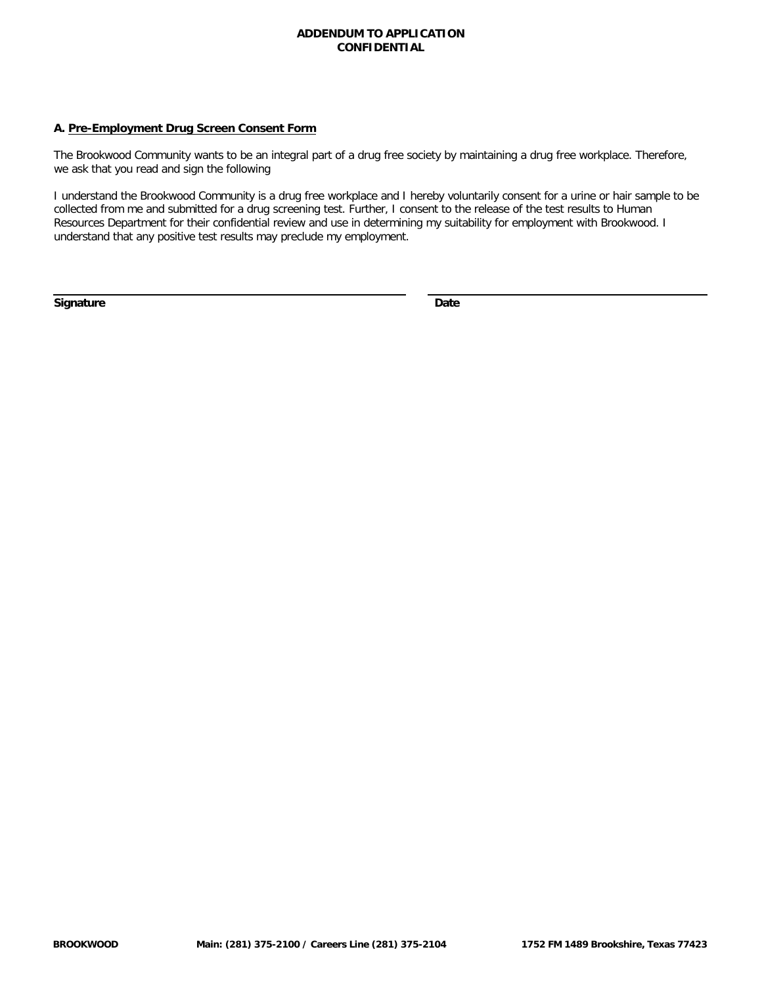### **ADDENDUM TO APPLICATION CONFIDENTIAL**

### A. Pre-Employment Drug Screen Consent Form

The Brookwood Community wants to be an integral part of a drug free society by maintaining a drug free workplace. Therefore, we ask that you read and sign the following

I understand the Brookwood Community is a drug free workplace and I hereby voluntarily consent for a urine or hair sample to be collected from me and submitted for a drug screening test. Further, I consent to the release of the test results to Human Resources Department for their confidential review and use in determining my suitability for employment with Brookwood. I understand that any positive test results may preclude my employment.

Signature

Date